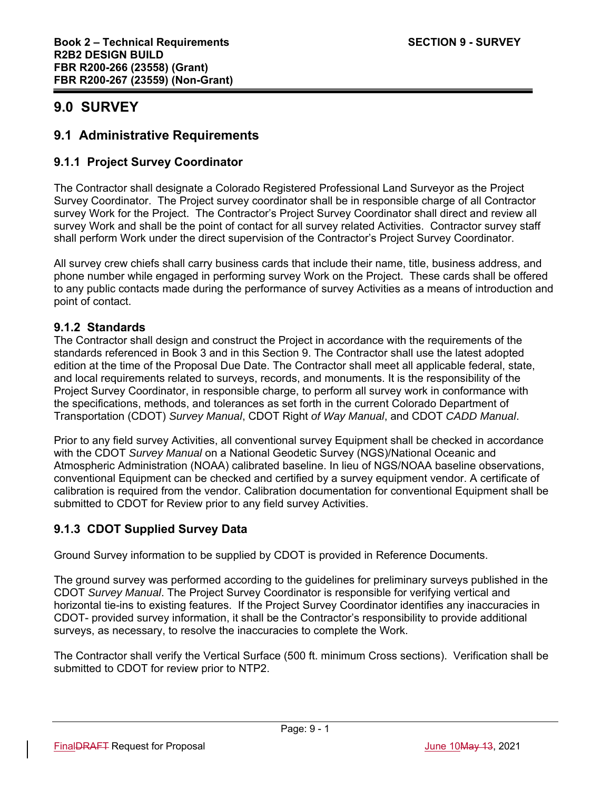# **9.0 SURVEY**

# **9.1 Administrative Requirements**

# **9.1.1 Project Survey Coordinator**

The Contractor shall designate a Colorado Registered Professional Land Surveyor as the Project Survey Coordinator. The Project survey coordinator shall be in responsible charge of all Contractor survey Work for the Project. The Contractor's Project Survey Coordinator shall direct and review all survey Work and shall be the point of contact for all survey related Activities. Contractor survey staff shall perform Work under the direct supervision of the Contractor's Project Survey Coordinator.

All survey crew chiefs shall carry business cards that include their name, title, business address, and phone number while engaged in performing survey Work on the Project. These cards shall be offered to any public contacts made during the performance of survey Activities as a means of introduction and point of contact.

# **9.1.2 Standards**

The Contractor shall design and construct the Project in accordance with the requirements of the standards referenced in Book 3 and in this Section 9. The Contractor shall use the latest adopted edition at the time of the Proposal Due Date. The Contractor shall meet all applicable federal, state, and local requirements related to surveys, records, and monuments. It is the responsibility of the Project Survey Coordinator, in responsible charge, to perform all survey work in conformance with the specifications, methods, and tolerances as set forth in the current Colorado Department of Transportation (CDOT) *Survey Manual*, CDOT Right *of Way Manual*, and CDOT *CADD Manual*.

Prior to any field survey Activities, all conventional survey Equipment shall be checked in accordance with the CDOT *Survey Manual* on a National Geodetic Survey (NGS)/National Oceanic and Atmospheric Administration (NOAA) calibrated baseline. In lieu of NGS/NOAA baseline observations, conventional Equipment can be checked and certified by a survey equipment vendor. A certificate of calibration is required from the vendor. Calibration documentation for conventional Equipment shall be submitted to CDOT for Review prior to any field survey Activities.

# **9.1.3 CDOT Supplied Survey Data**

Ground Survey information to be supplied by CDOT is provided in Reference Documents.

The ground survey was performed according to the guidelines for preliminary surveys published in the CDOT *Survey Manual*. The Project Survey Coordinator is responsible for verifying vertical and horizontal tie-ins to existing features. If the Project Survey Coordinator identifies any inaccuracies in CDOT- provided survey information, it shall be the Contractor's responsibility to provide additional surveys, as necessary, to resolve the inaccuracies to complete the Work.

The Contractor shall verify the Vertical Surface (500 ft. minimum Cross sections). Verification shall be submitted to CDOT for review prior to NTP2.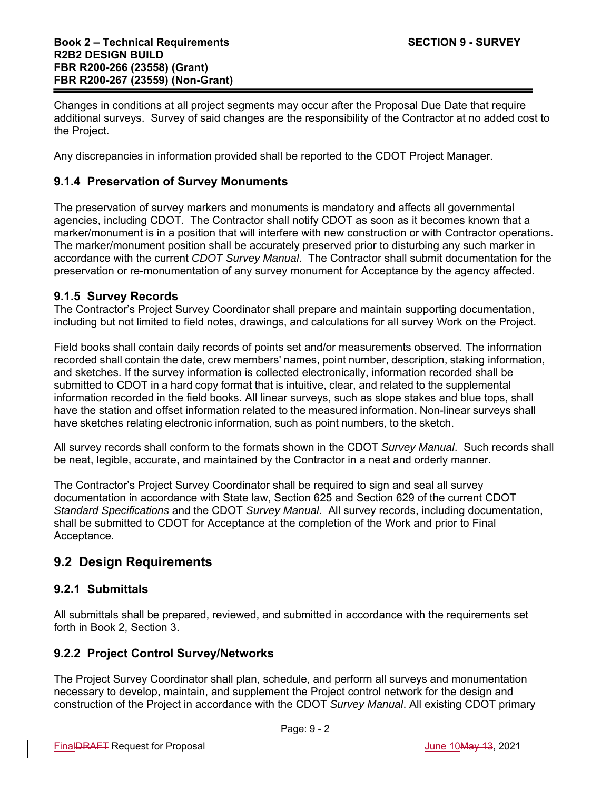Changes in conditions at all project segments may occur after the Proposal Due Date that require additional surveys. Survey of said changes are the responsibility of the Contractor at no added cost to the Project.

Any discrepancies in information provided shall be reported to the CDOT Project Manager.

### **9.1.4 Preservation of Survey Monuments**

The preservation of survey markers and monuments is mandatory and affects all governmental agencies, including CDOT. The Contractor shall notify CDOT as soon as it becomes known that a marker/monument is in a position that will interfere with new construction or with Contractor operations. The marker/monument position shall be accurately preserved prior to disturbing any such marker in accordance with the current *CDOT Survey Manual*. The Contractor shall submit documentation for the preservation or re-monumentation of any survey monument for Acceptance by the agency affected.

#### **9.1.5 Survey Records**

The Contractor's Project Survey Coordinator shall prepare and maintain supporting documentation, including but not limited to field notes, drawings, and calculations for all survey Work on the Project.

Field books shall contain daily records of points set and/or measurements observed. The information recorded shall contain the date, crew members' names, point number, description, staking information, and sketches. If the survey information is collected electronically, information recorded shall be submitted to CDOT in a hard copy format that is intuitive, clear, and related to the supplemental information recorded in the field books. All linear surveys, such as slope stakes and blue tops, shall have the station and offset information related to the measured information. Non-linear surveys shall have sketches relating electronic information, such as point numbers, to the sketch.

All survey records shall conform to the formats shown in the CDOT *Survey Manual*. Such records shall be neat, legible, accurate, and maintained by the Contractor in a neat and orderly manner.

The Contractor's Project Survey Coordinator shall be required to sign and seal all survey documentation in accordance with State law, Section 625 and Section 629 of the current CDOT *Standard Specifications* and the CDOT *Survey Manual*. All survey records, including documentation, shall be submitted to CDOT for Acceptance at the completion of the Work and prior to Final Acceptance.

# **9.2 Design Requirements**

# **9.2.1 Submittals**

All submittals shall be prepared, reviewed, and submitted in accordance with the requirements set forth in Book 2, Section 3.

#### **9.2.2 Project Control Survey/Networks**

The Project Survey Coordinator shall plan, schedule, and perform all surveys and monumentation necessary to develop, maintain, and supplement the Project control network for the design and construction of the Project in accordance with the CDOT *Survey Manual*. All existing CDOT primary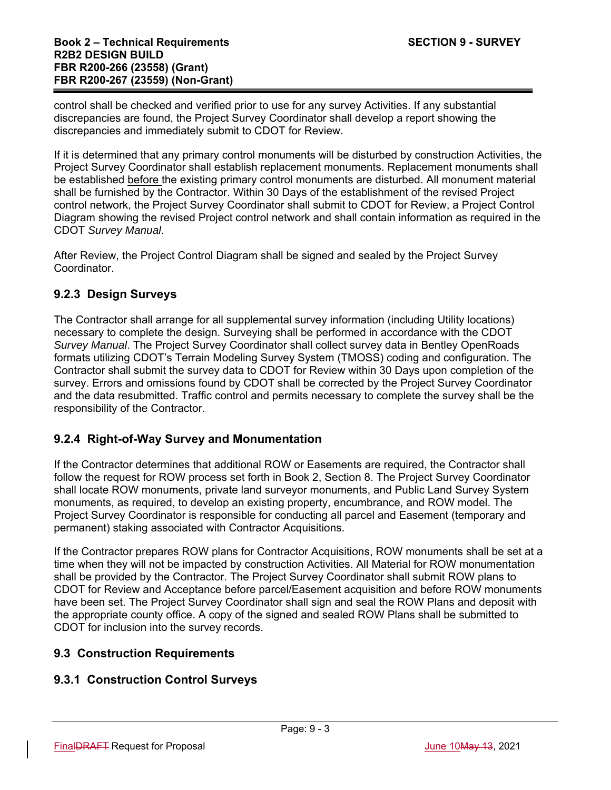control shall be checked and verified prior to use for any survey Activities. If any substantial discrepancies are found, the Project Survey Coordinator shall develop a report showing the discrepancies and immediately submit to CDOT for Review.

If it is determined that any primary control monuments will be disturbed by construction Activities, the Project Survey Coordinator shall establish replacement monuments. Replacement monuments shall be established before the existing primary control monuments are disturbed. All monument material shall be furnished by the Contractor. Within 30 Days of the establishment of the revised Project control network, the Project Survey Coordinator shall submit to CDOT for Review, a Project Control Diagram showing the revised Project control network and shall contain information as required in the CDOT *Survey Manual*.

After Review, the Project Control Diagram shall be signed and sealed by the Project Survey Coordinator.

# **9.2.3 Design Surveys**

The Contractor shall arrange for all supplemental survey information (including Utility locations) necessary to complete the design. Surveying shall be performed in accordance with the CDOT *Survey Manual*. The Project Survey Coordinator shall collect survey data in Bentley OpenRoads formats utilizing CDOT's Terrain Modeling Survey System (TMOSS) coding and configuration. The Contractor shall submit the survey data to CDOT for Review within 30 Days upon completion of the survey. Errors and omissions found by CDOT shall be corrected by the Project Survey Coordinator and the data resubmitted. Traffic control and permits necessary to complete the survey shall be the responsibility of the Contractor.

# **9.2.4 Right-of-Way Survey and Monumentation**

If the Contractor determines that additional ROW or Easements are required, the Contractor shall follow the request for ROW process set forth in Book 2, Section 8. The Project Survey Coordinator shall locate ROW monuments, private land surveyor monuments, and Public Land Survey System monuments, as required, to develop an existing property, encumbrance, and ROW model. The Project Survey Coordinator is responsible for conducting all parcel and Easement (temporary and permanent) staking associated with Contractor Acquisitions.

If the Contractor prepares ROW plans for Contractor Acquisitions, ROW monuments shall be set at a time when they will not be impacted by construction Activities. All Material for ROW monumentation shall be provided by the Contractor. The Project Survey Coordinator shall submit ROW plans to CDOT for Review and Acceptance before parcel/Easement acquisition and before ROW monuments have been set. The Project Survey Coordinator shall sign and seal the ROW Plans and deposit with the appropriate county office. A copy of the signed and sealed ROW Plans shall be submitted to CDOT for inclusion into the survey records.

# **9.3 Construction Requirements**

# **9.3.1 Construction Control Surveys**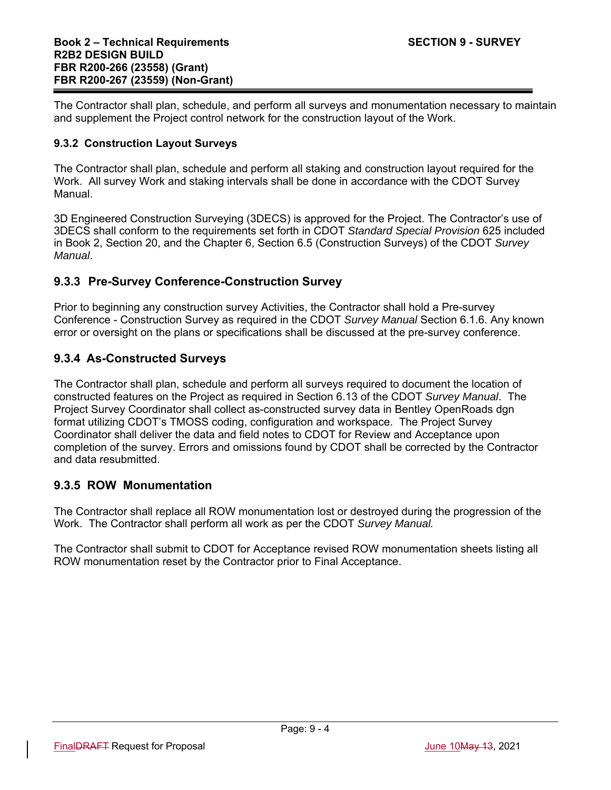The Contractor shall plan, schedule, and perform all surveys and monumentation necessary to maintain and supplement the Project control network for the construction layout of the Work.

#### **9.3.2 Construction Layout Surveys**

The Contractor shall plan, schedule and perform all staking and construction layout required for the Work. All survey Work and staking intervals shall be done in accordance with the CDOT Survey Manual.

3D Engineered Construction Surveying (3DECS) is approved for the Project. The Contractor's use of 3DECS shall conform to the requirements set forth in CDOT *Standard Special Provision* 625 included in Book 2, Section 20, and the Chapter 6, Section 6.5 (Construction Surveys) of the CDOT *Survey Manual*.

### **9.3.3 Pre-Survey Conference-Construction Survey**

Prior to beginning any construction survey Activities, the Contractor shall hold a Pre-survey Conference - Construction Survey as required in the CDOT *Survey Manual* Section 6.1.6. Any known error or oversight on the plans or specifications shall be discussed at the pre-survey conference.

### **9.3.4 As-Constructed Surveys**

The Contractor shall plan, schedule and perform all surveys required to document the location of constructed features on the Project as required in Section 6.13 of the CDOT *Survey Manual*. The Project Survey Coordinator shall collect as-constructed survey data in Bentley OpenRoads dgn format utilizing CDOT's TMOSS coding, configuration and workspace. The Project Survey Coordinator shall deliver the data and field notes to CDOT for Review and Acceptance upon completion of the survey. Errors and omissions found by CDOT shall be corrected by the Contractor and data resubmitted.

#### **9.3.5 ROW Monumentation**

The Contractor shall replace all ROW monumentation lost or destroyed during the progression of the Work. The Contractor shall perform all work as per the CDOT *Survey Manual.*

The Contractor shall submit to CDOT for Acceptance revised ROW monumentation sheets listing all ROW monumentation reset by the Contractor prior to Final Acceptance.